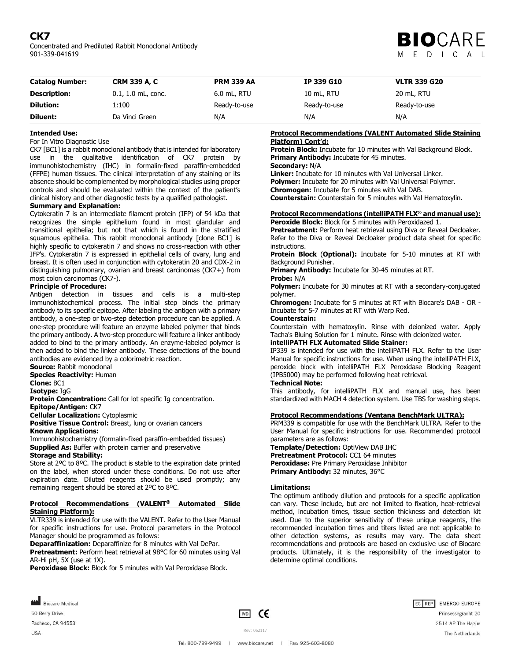# **CK7**

Concentrated and Prediluted Rabbit Monoclonal Antibody 901-339-041619



| <b>Catalog Number:</b> | <b>CRM 339 A, C</b>  | <b>PRM 339 AA</b> | IP 339 G10   | <b>VLTR 339 G20</b> |
|------------------------|----------------------|-------------------|--------------|---------------------|
| <b>Description:</b>    | $0.1, 1.0$ mL, conc. | $6.0$ mL, RTU     | 10 mL, RTU   | 20 mL, RTU          |
| <b>Dilution:</b>       | 1:100                | Ready-to-use      | Ready-to-use | Ready-to-use        |
| <b>Diluent:</b>        | Da Vinci Green       | N/A               | N/A          | N/A                 |

## **Intended Use:**

For In Vitro Diagnostic Use

CK7 [BC1] is a rabbit monoclonal antibody that is intended for laboratory use in the qualitative identification of CK7 protein by immunohistochemistry (IHC) in formalin-fixed paraffin-embedded (FFPE) human tissues. The clinical interpretation of any staining or its absence should be complemented by morphological studies using proper controls and should be evaluated within the context of the patient's clinical history and other diagnostic tests by a qualified pathologist.

# **Summary and Explanation:**

Cytokeratin 7 is an intermediate filament protein (IFP) of 54 kDa that recognizes the simple epithelium found in most glandular and transitional epithelia; but not that which is found in the stratified squamous epithelia. This rabbit monoclonal antibody [clone BC1] is highly specific to cytokeratin 7 and shows no cross-reaction with other IFP's. Cytokeratin 7 is expressed in epithelial cells of ovary, lung and breast. It is often used in conjunction with cytokeratin 20 and CDX-2 in distinguishing pulmonary, ovarian and breast carcinomas (CK7+) from most colon carcinomas (CK7-).

#### **Principle of Procedure:**

Antigen detection in tissues and cells is a multi-step immunohistochemical process. The initial step binds the primary antibody to its specific epitope. After labeling the antigen with a primary antibody, a one-step or two-step detection procedure can be applied. A one-step procedure will feature an enzyme labeled polymer that binds the primary antibody. A two-step procedure will feature a linker antibody added to bind to the primary antibody. An enzyme-labeled polymer is then added to bind the linker antibody. These detections of the bound antibodies are evidenced by a colorimetric reaction.

**Source:** Rabbit monoclonal

**Species Reactivity: Human** 

**Clone:** BC1

**Isotype:** IgG

**Protein Concentration:** Call for lot specific Ig concentration.

**Epitope/Antigen:** CK7

**Cellular Localization:** Cytoplasmic

**Positive Tissue Control:** Breast, lung or ovarian cancers **Known Applications:**

Immunohistochemistry (formalin-fixed paraffin-embedded tissues) **Supplied As:** Buffer with protein carrier and preservative

## **Storage and Stability:**

Store at 2ºC to 8ºC. The product is stable to the expiration date printed on the label, when stored under these conditions. Do not use after expiration date. Diluted reagents should be used promptly; any remaining reagent should be stored at 2ºC to 8ºC.

### **Protocol Recommendations (VALENT® Automated Slide Staining Platform):**

VLTR339 is intended for use with the VALENT. Refer to the User Manual for specific instructions for use. Protocol parameters in the Protocol Manager should be programmed as follows:

**Deparaffinization:** Deparaffinize for 8 minutes with Val DePar. **Pretreatment:** Perform heat retrieval at 98°C for 60 minutes using Val AR-Hi pH, 5X (use at 1X).

**Peroxidase Block:** Block for 5 minutes with Val Peroxidase Block.

## **Protocol Recommendations (VALENT Automated Slide Staining Platform) Cont'd:**

**Protein Block:** Incubate for 10 minutes with Val Background Block. **Primary Antibody:** Incubate for 45 minutes.

#### **Secondary:** N/A

**Linker:** Incubate for 10 minutes with Val Universal Linker.

**Polymer:** Incubate for 20 minutes with Val Universal Polymer.

**Chromogen:** Incubate for 5 minutes with Val DAB.

**Counterstain:** Counterstain for 5 minutes with Val Hematoxylin.

# **Protocol Recommendations (intelliPATH FLX® and manual use): Peroxide Block:** Block for 5 minutes with Peroxidazed 1.

**Pretreatment:** Perform heat retrieval using Diva or Reveal Decloaker. Refer to the Diva or Reveal Decloaker product data sheet for specific instructions.

**Protein Block** (**Optional):** Incubate for 5-10 minutes at RT with Background Punisher.

**Primary Antibody:** Incubate for 30-45 minutes at RT.

#### **Probe:** N/A

**Polymer:** Incubate for 30 minutes at RT with a secondary-conjugated polymer.

**Chromogen:** Incubate for 5 minutes at RT with Biocare's DAB - OR - Incubate for 5-7 minutes at RT with Warp Red.

# **Counterstain:**

Counterstain with hematoxylin. Rinse with deionized water. Apply Tacha's Bluing Solution for 1 minute. Rinse with deionized water.

# **intelliPATH FLX Automated Slide Stainer:**

IP339 is intended for use with the intelliPATH FLX. Refer to the User Manual for specific instructions for use. When using the intelliPATH FLX, peroxide block with intelliPATH FLX Peroxidase Blocking Reagent (IPB5000) may be performed following heat retrieval.

# **Technical Note:**

This antibody, for intelliPATH FLX and manual use, has been standardized with MACH 4 detection system. Use TBS for washing steps.

#### **Protocol Recommendations (Ventana BenchMark ULTRA):**

PRM339 is compatible for use with the BenchMark ULTRA. Refer to the User Manual for specific instructions for use. Recommended protocol parameters are as follows:

**Template/Detection:** OptiView DAB IHC **Pretreatment Protocol: CC1 64 minutes Peroxidase:** Pre Primary Peroxidase Inhibitor **Primary Antibody:** 32 minutes, 36°C

#### **Limitations:**

The optimum antibody dilution and protocols for a specific application can vary. These include, but are not limited to fixation, heat-retrieval method, incubation times, tissue section thickness and detection kit used. Due to the superior sensitivity of these unique reagents, the recommended incubation times and titers listed are not applicable to other detection systems, as results may vary. The data sheet recommendations and protocols are based on exclusive use of Biocare products. Ultimately, it is the responsibility of the investigator to determine optimal conditions.

Biocare Medical 60 Berry Drive Pacheco, CA 94553

**USA** 

 $\boxed{VD}$  CE



Tel: 800-799-9499 | www.biocare.net | Fax: 925-603-8080